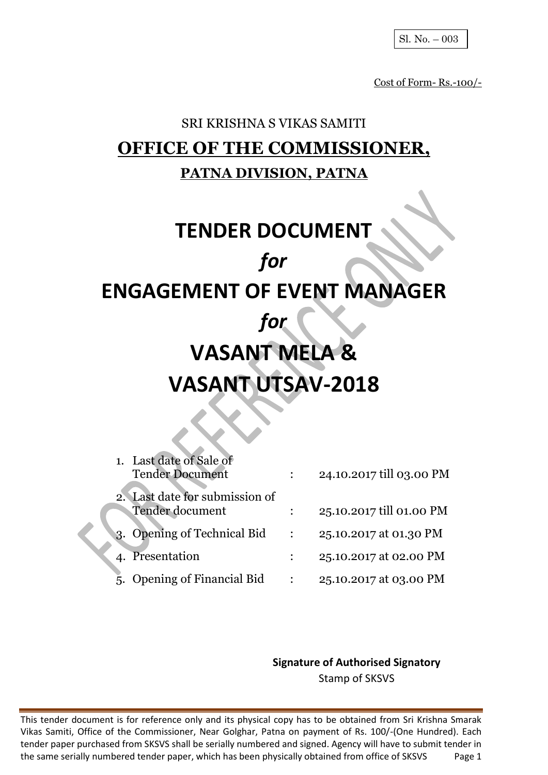Cost of Form- Rs.-100/-

# SRI KRISHNA S VIKAS SAMITI **OFFICE OF THE COMMISSIONER, PATNA DIVISION, PATNA**

# **TENDER DOCUMENT** *for* **ENGAGEMENT OF EVENT MANAGER** *for* **VASANT MELA & VASANT UTSAV-2018**

| 1. Last date of Sale of<br><b>Tender Document</b> | 24.10.2017 till 03.00 PM |
|---------------------------------------------------|--------------------------|
| 2. Last date for submission of<br>Tender document | 25.10.2017 till 01.00 PM |
| 3. Opening of Technical Bid                       | 25.10.2017 at 01.30 PM   |
| 4. Presentation                                   | 25.10.2017 at 02.00 PM   |
| <b>Opening of Financial Bid</b>                   | 25.10.2017 at 03.00 PM   |

**Signature of Authorised Signatory** Stamp of SKSVS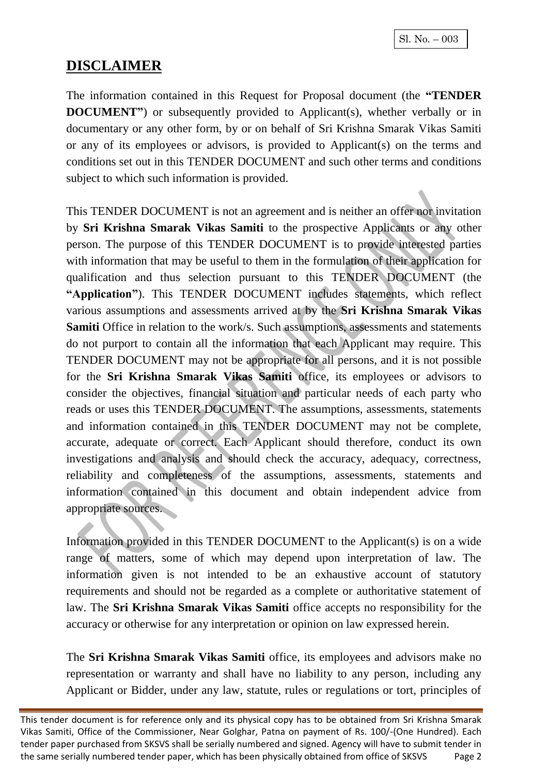## **DISCLAIMER**

The information contained in this Request for Proposal document (the **"TENDER DOCUMENT**") or subsequently provided to Applicant(s), whether verbally or in documentary or any other form, by or on behalf of Sri Krishna Smarak Vikas Samiti or any of its employees or advisors, is provided to Applicant(s) on the terms and conditions set out in this TENDER DOCUMENT and such other terms and conditions subject to which such information is provided.

This TENDER DOCUMENT is not an agreement and is neither an offer nor invitation by **Sri Krishna Smarak Vikas Samiti** to the prospective Applicants or any other person. The purpose of this TENDER DOCUMENT is to provide interested parties with information that may be useful to them in the formulation of their application for qualification and thus selection pursuant to this TENDER DOCUMENT (the **"Application"**). This TENDER DOCUMENT includes statements, which reflect various assumptions and assessments arrived at by the **Sri Krishna Smarak Vikas Samiti** Office in relation to the work/s. Such assumptions, assessments and statements do not purport to contain all the information that each Applicant may require. This TENDER DOCUMENT may not be appropriate for all persons, and it is not possible for the **Sri Krishna Smarak Vikas Samiti** office, its employees or advisors to consider the objectives, financial situation and particular needs of each party who reads or uses this TENDER DOCUMENT. The assumptions, assessments, statements and information contained in this TENDER DOCUMENT may not be complete, accurate, adequate or correct. Each Applicant should therefore, conduct its own investigations and analysis and should check the accuracy, adequacy, correctness, reliability and completeness of the assumptions, assessments, statements and information contained in this document and obtain independent advice from appropriate sources.

Information provided in this TENDER DOCUMENT to the Applicant(s) is on a wide range of matters, some of which may depend upon interpretation of law. The information given is not intended to be an exhaustive account of statutory requirements and should not be regarded as a complete or authoritative statement of law. The **Sri Krishna Smarak Vikas Samiti** office accepts no responsibility for the accuracy or otherwise for any interpretation or opinion on law expressed herein.

The **Sri Krishna Smarak Vikas Samiti** office, its employees and advisors make no representation or warranty and shall have no liability to any person, including any Applicant or Bidder, under any law, statute, rules or regulations or tort, principles of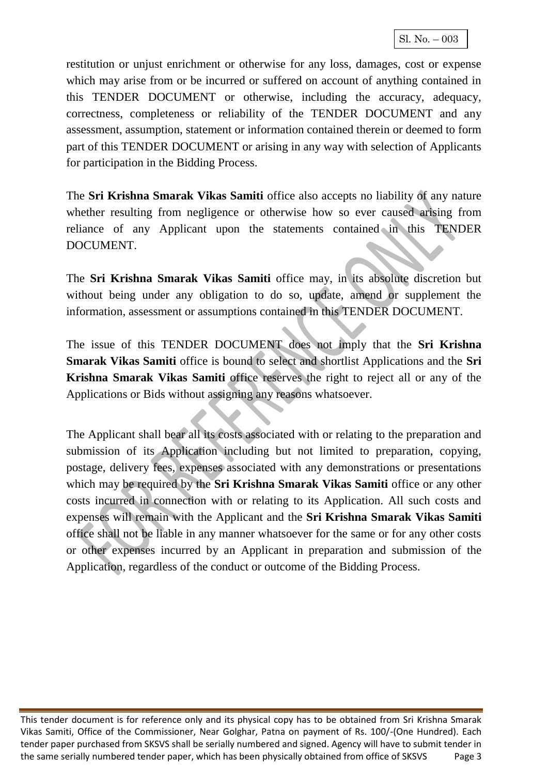restitution or unjust enrichment or otherwise for any loss, damages, cost or expense which may arise from or be incurred or suffered on account of anything contained in this TENDER DOCUMENT or otherwise, including the accuracy, adequacy, correctness, completeness or reliability of the TENDER DOCUMENT and any assessment, assumption, statement or information contained therein or deemed to form part of this TENDER DOCUMENT or arising in any way with selection of Applicants for participation in the Bidding Process.

The **Sri Krishna Smarak Vikas Samiti** office also accepts no liability of any nature whether resulting from negligence or otherwise how so ever caused arising from reliance of any Applicant upon the statements contained in this TENDER DOCUMENT.

The **Sri Krishna Smarak Vikas Samiti** office may, in its absolute discretion but without being under any obligation to do so, update, amend or supplement the information, assessment or assumptions contained in this TENDER DOCUMENT.

The issue of this TENDER DOCUMENT does not imply that the **Sri Krishna Smarak Vikas Samiti** office is bound to select and shortlist Applications and the **Sri Krishna Smarak Vikas Samiti** office reserves the right to reject all or any of the Applications or Bids without assigning any reasons whatsoever.

The Applicant shall bear all its costs associated with or relating to the preparation and submission of its Application including but not limited to preparation, copying, postage, delivery fees, expenses associated with any demonstrations or presentations which may be required by the **Sri Krishna Smarak Vikas Samiti** office or any other costs incurred in connection with or relating to its Application. All such costs and expenses will remain with the Applicant and the **Sri Krishna Smarak Vikas Samiti** office shall not be liable in any manner whatsoever for the same or for any other costs or other expenses incurred by an Applicant in preparation and submission of the Application, regardless of the conduct or outcome of the Bidding Process.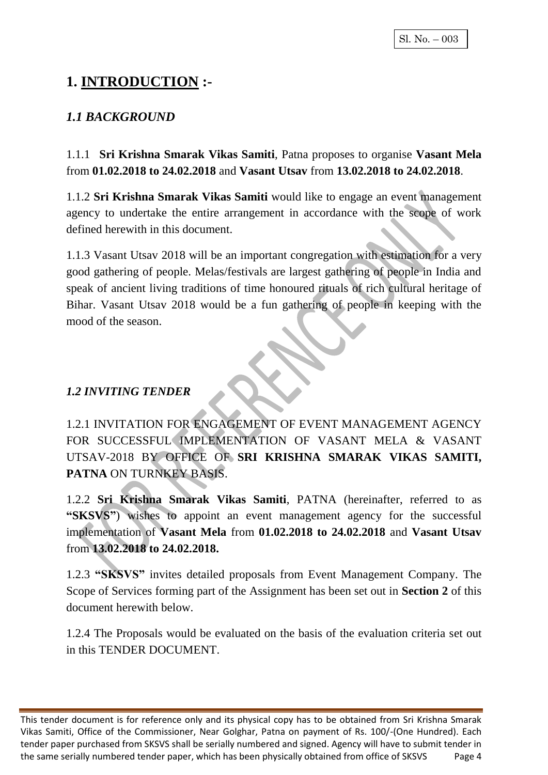## **1. INTRODUCTION :-**

#### *1.1 BACKGROUND*

1.1.1 **Sri Krishna Smarak Vikas Samiti**, Patna proposes to organise **Vasant Mela**  from **01.02.2018 to 24.02.2018** and **Vasant Utsav** from **13.02.2018 to 24.02.2018**.

1.1.2 **Sri Krishna Smarak Vikas Samiti** would like to engage an event management agency to undertake the entire arrangement in accordance with the scope of work defined herewith in this document.

1.1.3 Vasant Utsav 2018 will be an important congregation with estimation for a very good gathering of people. Melas/festivals are largest gathering of people in India and speak of ancient living traditions of time honoured rituals of rich cultural heritage of Bihar. Vasant Utsav 2018 would be a fun gathering of people in keeping with the mood of the season.

#### *1.2 INVITING TENDER*

1.2.1 INVITATION FOR ENGAGEMENT OF EVENT MANAGEMENT AGENCY FOR SUCCESSFUL IMPLEMENTATION OF VASANT MELA & VASANT UTSAV-2018 BY OFFICE OF **SRI KRISHNA SMARAK VIKAS SAMITI, PATNA** ON TURNKEY BASIS.

1.2.2 **Sri Krishna Smarak Vikas Samiti**, PATNA (hereinafter, referred to as **"SKSVS"**) wishes to appoint an event management agency for the successful implementation of **Vasant Mela** from **01.02.2018 to 24.02.2018** and **Vasant Utsav**  from **13.02.2018 to 24.02.2018.**

1.2.3 **"SKSVS"** invites detailed proposals from Event Management Company. The Scope of Services forming part of the Assignment has been set out in **Section 2** of this document herewith below.

1.2.4 The Proposals would be evaluated on the basis of the evaluation criteria set out in this TENDER DOCUMENT.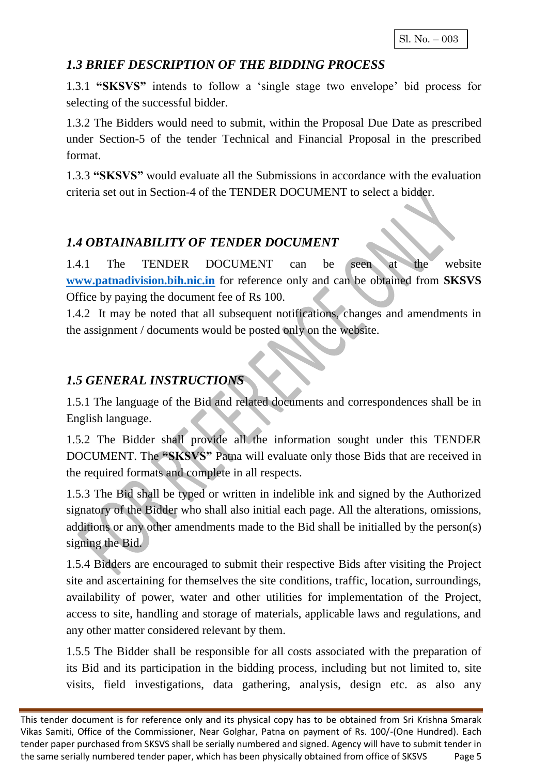#### *1.3 BRIEF DESCRIPTION OF THE BIDDING PROCESS*

1.3.1 **"SKSVS"** intends to follow a 'single stage two envelope' bid process for selecting of the successful bidder.

1.3.2 The Bidders would need to submit, within the Proposal Due Date as prescribed under Section-5 of the tender Technical and Financial Proposal in the prescribed format.

1.3.3 **"SKSVS"** would evaluate all the Submissions in accordance with the evaluation criteria set out in Section-4 of the TENDER DOCUMENT to select a bidder.

## *1.4 OBTAINABILITY OF TENDER DOCUMENT*

1.4.1 The TENDER DOCUMENT can be seen at the website **[www.patnadivision.bih.nic.in](http://www.patnadivision.bih.nic.in/)** for reference only and can be obtained from **SKSVS** Office by paying the document fee of Rs 100.

1.4.2 It may be noted that all subsequent notifications, changes and amendments in the assignment / documents would be posted only on the website.

#### *1.5 GENERAL INSTRUCTIONS*

1.5.1 The language of the Bid and related documents and correspondences shall be in English language.

1.5.2 The Bidder shall provide all the information sought under this TENDER DOCUMENT. The **"SKSVS"** Patna will evaluate only those Bids that are received in the required formats and complete in all respects.

1.5.3 The Bid shall be typed or written in indelible ink and signed by the Authorized signatory of the Bidder who shall also initial each page. All the alterations, omissions, additions or any other amendments made to the Bid shall be initialled by the person(s) signing the Bid.

1.5.4 Bidders are encouraged to submit their respective Bids after visiting the Project site and ascertaining for themselves the site conditions, traffic, location, surroundings, availability of power, water and other utilities for implementation of the Project, access to site, handling and storage of materials, applicable laws and regulations, and any other matter considered relevant by them.

1.5.5 The Bidder shall be responsible for all costs associated with the preparation of its Bid and its participation in the bidding process, including but not limited to, site visits, field investigations, data gathering, analysis, design etc. as also any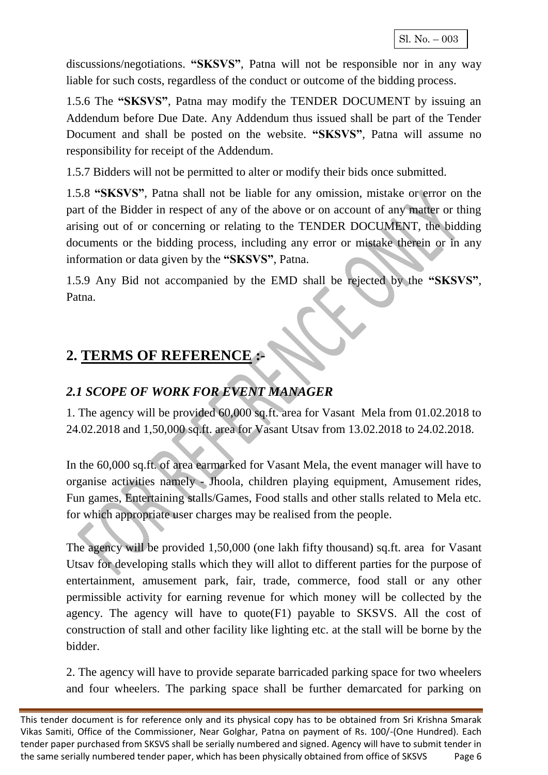discussions/negotiations. **"SKSVS"**, Patna will not be responsible nor in any way liable for such costs, regardless of the conduct or outcome of the bidding process.

1.5.6 The **"SKSVS"**, Patna may modify the TENDER DOCUMENT by issuing an Addendum before Due Date. Any Addendum thus issued shall be part of the Tender Document and shall be posted on the website. **"SKSVS"**, Patna will assume no responsibility for receipt of the Addendum.

1.5.7 Bidders will not be permitted to alter or modify their bids once submitted.

1.5.8 **"SKSVS"**, Patna shall not be liable for any omission, mistake or error on the part of the Bidder in respect of any of the above or on account of any matter or thing arising out of or concerning or relating to the TENDER DOCUMENT, the bidding documents or the bidding process, including any error or mistake therein or in any information or data given by the **"SKSVS"**, Patna.

1.5.9 Any Bid not accompanied by the EMD shall be rejected by the **"SKSVS"**, Patna.

## **2. TERMS OF REFERENCE :-**

## *2.1 SCOPE OF WORK FOR EVENT MANAGER*

1. The agency will be provided 60,000 sq.ft. area for Vasant Mela from 01.02.2018 to 24.02.2018 and 1,50,000 sq.ft. area for Vasant Utsav from 13.02.2018 to 24.02.2018.

In the 60,000 sq.ft. of area earmarked for Vasant Mela, the event manager will have to organise activities namely - Jhoola, children playing equipment, Amusement rides, Fun games, Entertaining stalls/Games, Food stalls and other stalls related to Mela etc. for which appropriate user charges may be realised from the people.

The agency will be provided 1,50,000 (one lakh fifty thousand) sq.ft. area for Vasant Utsav for developing stalls which they will allot to different parties for the purpose of entertainment, amusement park, fair, trade, commerce, food stall or any other permissible activity for earning revenue for which money will be collected by the agency. The agency will have to quote(F1) payable to SKSVS. All the cost of construction of stall and other facility like lighting etc. at the stall will be borne by the bidder.

2. The agency will have to provide separate barricaded parking space for two wheelers and four wheelers. The parking space shall be further demarcated for parking on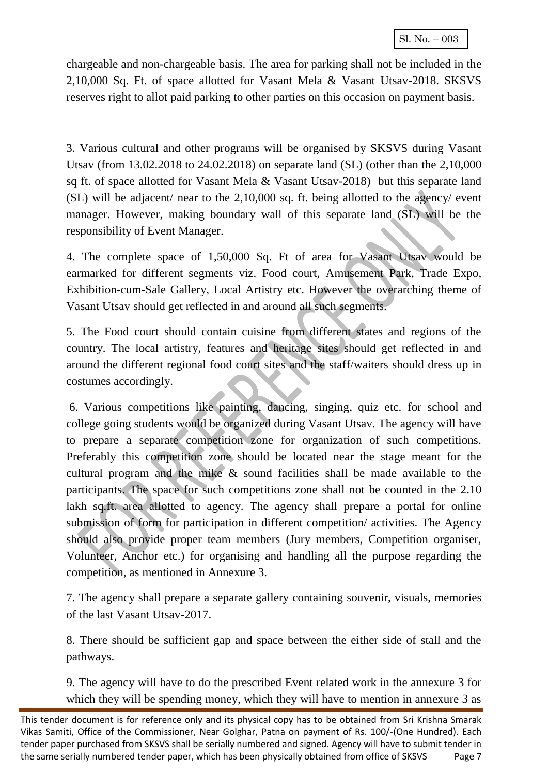chargeable and non-chargeable basis. The area for parking shall not be included in the 2,10,000 Sq. Ft. of space allotted for Vasant Mela & Vasant Utsav-2018. SKSVS reserves right to allot paid parking to other parties on this occasion on payment basis.

3. Various cultural and other programs will be organised by SKSVS during Vasant Utsav (from 13.02.2018 to 24.02.2018) on separate land (SL) (other than the 2,10,000 sq ft. of space allotted for Vasant Mela & Vasant Utsav-2018) but this separate land (SL) will be adjacent/ near to the 2,10,000 sq. ft. being allotted to the agency/ event manager. However, making boundary wall of this separate land (SL) will be the responsibility of Event Manager.

4. The complete space of 1,50,000 Sq. Ft of area for Vasant Utsav would be earmarked for different segments viz. Food court, Amusement Park, Trade Expo, Exhibition-cum-Sale Gallery, Local Artistry etc. However the overarching theme of Vasant Utsav should get reflected in and around all such segments.

5. The Food court should contain cuisine from different states and regions of the country. The local artistry, features and heritage sites should get reflected in and around the different regional food court sites and the staff/waiters should dress up in costumes accordingly.

6. Various competitions like painting, dancing, singing, quiz etc. for school and college going students would be organized during Vasant Utsav. The agency will have to prepare a separate competition zone for organization of such competitions. Preferably this competition zone should be located near the stage meant for the cultural program and the mike & sound facilities shall be made available to the participants. The space for such competitions zone shall not be counted in the 2.10 lakh sq.ft. area allotted to agency. The agency shall prepare a portal for online submission of form for participation in different competition/ activities. The Agency should also provide proper team members (Jury members, Competition organiser, Volunteer, Anchor etc.) for organising and handling all the purpose regarding the competition, as mentioned in Annexure 3.

7. The agency shall prepare a separate gallery containing souvenir, visuals, memories of the last Vasant Utsav-2017.

8. There should be sufficient gap and space between the either side of stall and the pathways.

9. The agency will have to do the prescribed Event related work in the annexure 3 for which they will be spending money, which they will have to mention in annexure 3 as

This tender document is for reference only and its physical copy has to be obtained from Sri Krishna Smarak Vikas Samiti, Office of the Commissioner, Near Golghar, Patna on payment of Rs. 100/-(One Hundred). Each tender paper purchased from SKSVS shall be serially numbered and signed. Agency will have to submit tender in the same serially numbered tender paper, which has been physically obtained from office of SKSVS Page 7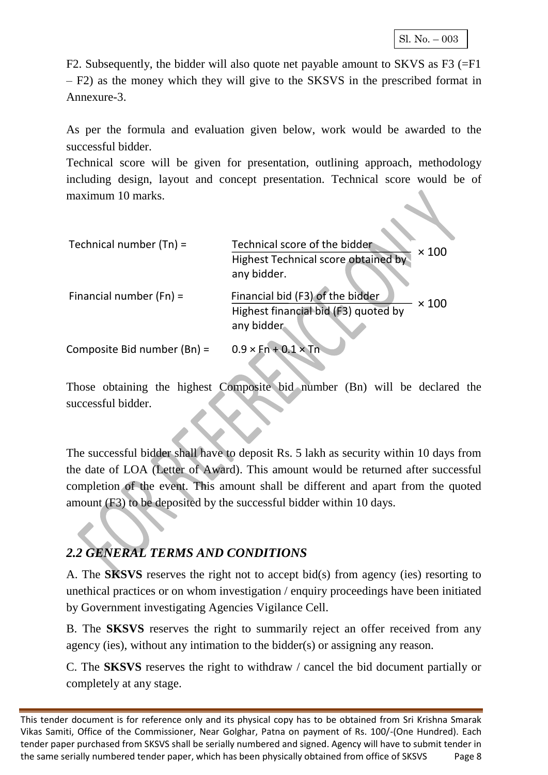F2. Subsequently, the bidder will also quote net payable amount to SKVS as F3 (=F1 – F2) as the money which they will give to the SKSVS in the prescribed format in Annexure-3.

As per the formula and evaluation given below, work would be awarded to the successful bidder.

Technical score will be given for presentation, outlining approach, methodology including design, layout and concept presentation. Technical score would be of maximum 10 marks.

| Technical number $(Tn)$ =   | Technical score of the bidder<br>$\times$ 100<br>Highest Technical score obtained by<br>any bidder.    |
|-----------------------------|--------------------------------------------------------------------------------------------------------|
| Financial number $(Fn) =$   | Financial bid (F3) of the bidder<br>$\times$ 100<br>Highest financial bid (F3) quoted by<br>any bidder |
| Composite Bid number (Bn) = | $0.9 \times Fn+0.1 \times Th$                                                                          |

Those obtaining the highest Composite bid number (Bn) will be declared the successful bidder.

The successful bidder shall have to deposit Rs. 5 lakh as security within 10 days from the date of LOA (Letter of Award). This amount would be returned after successful completion of the event. This amount shall be different and apart from the quoted amount (F3) to be deposited by the successful bidder within 10 days.

## *2.2 GENERAL TERMS AND CONDITIONS*

A. The **SKSVS** reserves the right not to accept bid(s) from agency (ies) resorting to unethical practices or on whom investigation / enquiry proceedings have been initiated by Government investigating Agencies Vigilance Cell.

B. The **SKSVS** reserves the right to summarily reject an offer received from any agency (ies), without any intimation to the bidder(s) or assigning any reason.

C. The **SKSVS** reserves the right to withdraw / cancel the bid document partially or completely at any stage.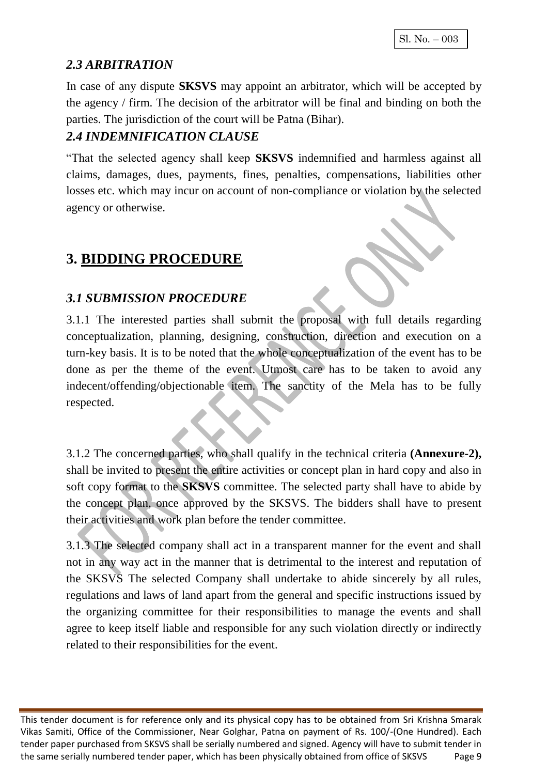#### *2.3 ARBITRATION*

In case of any dispute **SKSVS** may appoint an arbitrator, which will be accepted by the agency / firm. The decision of the arbitrator will be final and binding on both the parties. The jurisdiction of the court will be Patna (Bihar).

#### *2.4 INDEMNIFICATION CLAUSE*

"That the selected agency shall keep **SKSVS** indemnified and harmless against all claims, damages, dues, payments, fines, penalties, compensations, liabilities other losses etc. which may incur on account of non-compliance or violation by the selected agency or otherwise.

## **3. BIDDING PROCEDURE**

#### *3.1 SUBMISSION PROCEDURE*

3.1.1 The interested parties shall submit the proposal with full details regarding conceptualization, planning, designing, construction, direction and execution on a turn-key basis. It is to be noted that the whole conceptualization of the event has to be done as per the theme of the event. Utmost care has to be taken to avoid any indecent/offending/objectionable item. The sanctity of the Mela has to be fully respected.

3.1.2 The concerned parties, who shall qualify in the technical criteria **(Annexure-2),**  shall be invited to present the entire activities or concept plan in hard copy and also in soft copy format to the **SKSVS** committee. The selected party shall have to abide by the concept plan, once approved by the SKSVS. The bidders shall have to present their activities and work plan before the tender committee.

3.1.3 The selected company shall act in a transparent manner for the event and shall not in any way act in the manner that is detrimental to the interest and reputation of the SKSVS The selected Company shall undertake to abide sincerely by all rules, regulations and laws of land apart from the general and specific instructions issued by the organizing committee for their responsibilities to manage the events and shall agree to keep itself liable and responsible for any such violation directly or indirectly related to their responsibilities for the event.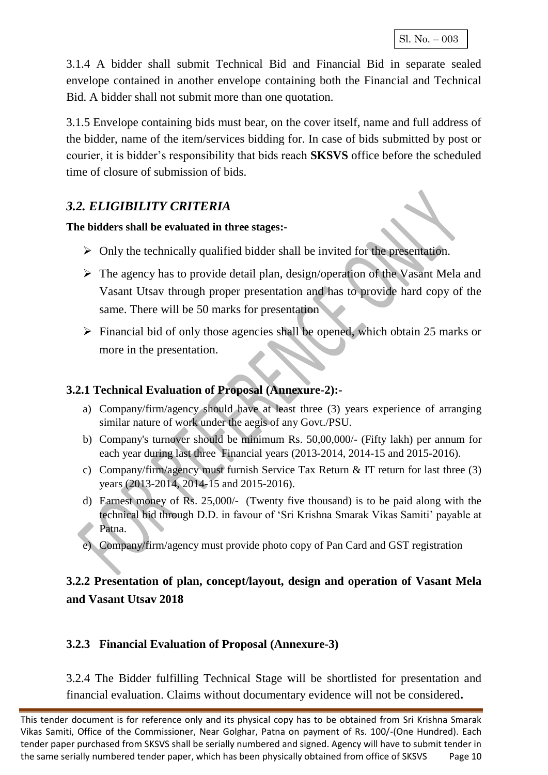3.1.4 A bidder shall submit Technical Bid and Financial Bid in separate sealed envelope contained in another envelope containing both the Financial and Technical Bid. A bidder shall not submit more than one quotation.

3.1.5 Envelope containing bids must bear, on the cover itself, name and full address of the bidder, name of the item/services bidding for. In case of bids submitted by post or courier, it is bidder's responsibility that bids reach **SKSVS** office before the scheduled time of closure of submission of bids.

#### *3.2. ELIGIBILITY CRITERIA*

#### **The bidders shall be evaluated in three stages:-**

- $\triangleright$  Only the technically qualified bidder shall be invited for the presentation.
- $\triangleright$  The agency has to provide detail plan, design/operation of the Vasant Mela and Vasant Utsav through proper presentation and has to provide hard copy of the same. There will be 50 marks for presentation
- $\triangleright$  Financial bid of only those agencies shall be opened, which obtain 25 marks or more in the presentation.

#### **3.2.1 Technical Evaluation of Proposal (Annexure-2):-**

- a) Company/firm/agency should have at least three (3) years experience of arranging similar nature of work under the aegis of any Govt./PSU.
- b) Company's turnover should be minimum Rs. 50,00,000/- (Fifty lakh) per annum for each year during last three Financial years (2013-2014, 2014-15 and 2015-2016).
- c) Company/firm/agency must furnish Service Tax Return & IT return for last three (3) years (2013-2014, 2014-15 and 2015-2016).
- d) Earnest money of Rs. 25,000/- (Twenty five thousand) is to be paid along with the technical bid through D.D. in favour of 'Sri Krishna Smarak Vikas Samiti' payable at Patna.
- e) Company/firm/agency must provide photo copy of Pan Card and GST registration

#### **3.2.2 Presentation of plan, concept/layout, design and operation of Vasant Mela and Vasant Utsav 2018**

#### **3.2.3 Financial Evaluation of Proposal (Annexure-3)**

3.2.4 The Bidder fulfilling Technical Stage will be shortlisted for presentation and financial evaluation. Claims without documentary evidence will not be considered**.**

This tender document is for reference only and its physical copy has to be obtained from Sri Krishna Smarak Vikas Samiti, Office of the Commissioner, Near Golghar, Patna on payment of Rs. 100/-(One Hundred). Each tender paper purchased from SKSVS shall be serially numbered and signed. Agency will have to submit tender in the same serially numbered tender paper, which has been physically obtained from office of SKSVS Page 10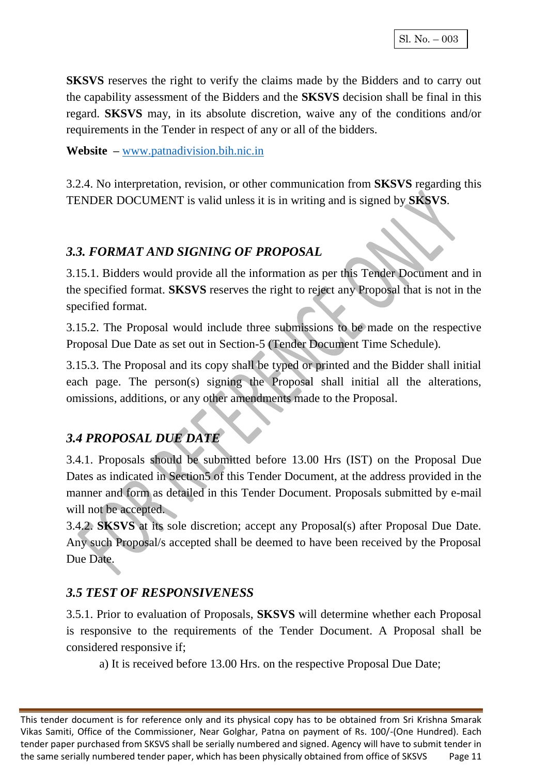**SKSVS** reserves the right to verify the claims made by the Bidders and to carry out the capability assessment of the Bidders and the **SKSVS** decision shall be final in this regard. **SKSVS** may, in its absolute discretion, waive any of the conditions and/or requirements in the Tender in respect of any or all of the bidders.

**Website –** [www.patnadivision.bih.nic.in](http://www.patnadivision.bih.nic.in/)

3.2.4. No interpretation, revision, or other communication from **SKSVS** regarding this TENDER DOCUMENT is valid unless it is in writing and is signed by **SKSVS**.

#### *3.3. FORMAT AND SIGNING OF PROPOSAL*

3.15.1. Bidders would provide all the information as per this Tender Document and in the specified format. **SKSVS** reserves the right to reject any Proposal that is not in the specified format.

3.15.2. The Proposal would include three submissions to be made on the respective Proposal Due Date as set out in Section-5 (Tender Document Time Schedule).

3.15.3. The Proposal and its copy shall be typed or printed and the Bidder shall initial each page. The person(s) signing the Proposal shall initial all the alterations, omissions, additions, or any other amendments made to the Proposal.

#### *3.4 PROPOSAL DUE DATE*

3.4.1. Proposals should be submitted before 13.00 Hrs (IST) on the Proposal Due Dates as indicated in Section5 of this Tender Document, at the address provided in the manner and form as detailed in this Tender Document. Proposals submitted by e-mail will not be accepted.

3.4.2. **SKSVS** at its sole discretion; accept any Proposal(s) after Proposal Due Date. Any such Proposal/s accepted shall be deemed to have been received by the Proposal Due Date.

#### *3.5 TEST OF RESPONSIVENESS*

3.5.1. Prior to evaluation of Proposals, **SKSVS** will determine whether each Proposal is responsive to the requirements of the Tender Document. A Proposal shall be considered responsive if;

a) It is received before 13.00 Hrs. on the respective Proposal Due Date;

This tender document is for reference only and its physical copy has to be obtained from Sri Krishna Smarak Vikas Samiti, Office of the Commissioner, Near Golghar, Patna on payment of Rs. 100/-(One Hundred). Each tender paper purchased from SKSVS shall be serially numbered and signed. Agency will have to submit tender in the same serially numbered tender paper, which has been physically obtained from office of SKSVS Page 11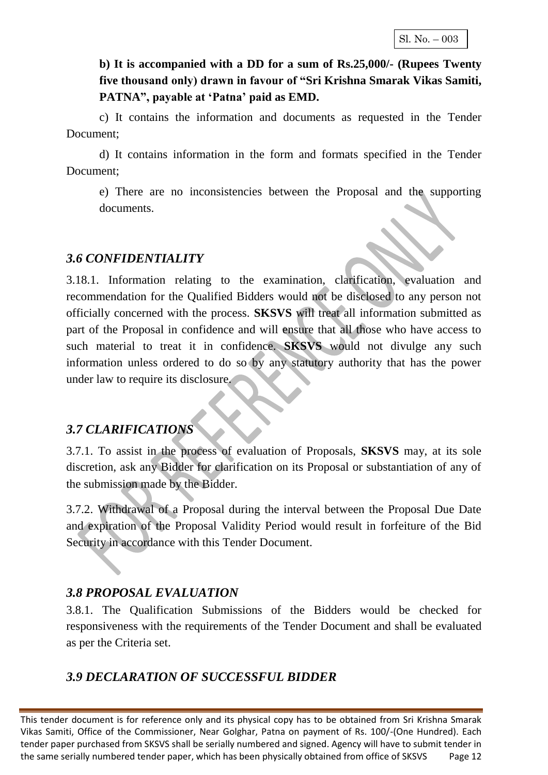#### **b) It is accompanied with a DD for a sum of Rs.25,000/- (Rupees Twenty five thousand only) drawn in favour of "Sri Krishna Smarak Vikas Samiti,**  PATNA", payable at 'Patna' paid as **EMD**.

c) It contains the information and documents as requested in the Tender Document;

d) It contains information in the form and formats specified in the Tender Document;

e) There are no inconsistencies between the Proposal and the supporting documents.

#### *3.6 CONFIDENTIALITY*

3.18.1. Information relating to the examination, clarification, evaluation and recommendation for the Qualified Bidders would not be disclosed to any person not officially concerned with the process. **SKSVS** will treat all information submitted as part of the Proposal in confidence and will ensure that all those who have access to such material to treat it in confidence. **SKSVS** would not divulge any such information unless ordered to do so by any statutory authority that has the power under law to require its disclosure.

#### *3.7 CLARIFICATIONS*

3.7.1. To assist in the process of evaluation of Proposals, **SKSVS** may, at its sole discretion, ask any Bidder for clarification on its Proposal or substantiation of any of the submission made by the Bidder.

3.7.2. Withdrawal of a Proposal during the interval between the Proposal Due Date and expiration of the Proposal Validity Period would result in forfeiture of the Bid Security in accordance with this Tender Document.

#### *3.8 PROPOSAL EVALUATION*

3.8.1. The Qualification Submissions of the Bidders would be checked for responsiveness with the requirements of the Tender Document and shall be evaluated as per the Criteria set.

## *3.9 DECLARATION OF SUCCESSFUL BIDDER*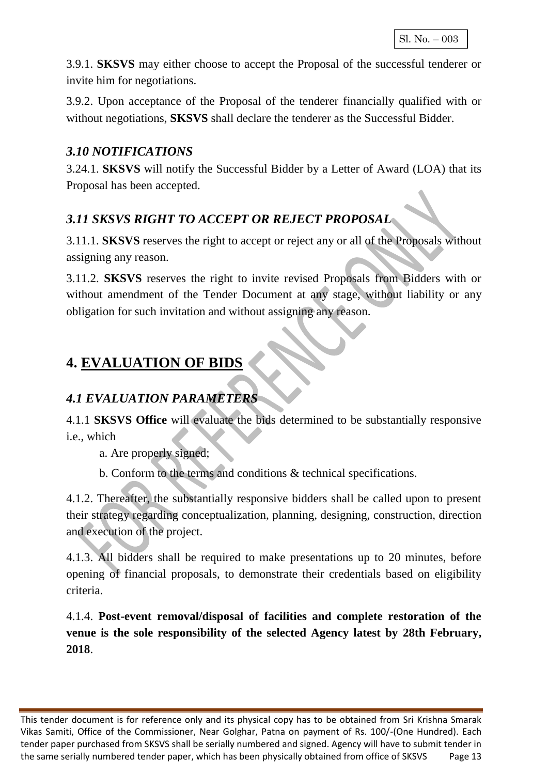3.9.1. **SKSVS** may either choose to accept the Proposal of the successful tenderer or invite him for negotiations.

3.9.2. Upon acceptance of the Proposal of the tenderer financially qualified with or without negotiations, **SKSVS** shall declare the tenderer as the Successful Bidder.

#### *3.10 NOTIFICATIONS*

3.24.1. **SKSVS** will notify the Successful Bidder by a Letter of Award (LOA) that its Proposal has been accepted.

## *3.11 SKSVS RIGHT TO ACCEPT OR REJECT PROPOSAL*

3.11.1. **SKSVS** reserves the right to accept or reject any or all of the Proposals without assigning any reason.

3.11.2. **SKSVS** reserves the right to invite revised Proposals from Bidders with or without amendment of the Tender Document at any stage, without liability or any obligation for such invitation and without assigning any reason.

## **4. EVALUATION OF BIDS**

## *4.1 EVALUATION PARAMETERS*

4.1.1 **SKSVS Office** will evaluate the bids determined to be substantially responsive i.e., which

a. Are properly signed;

b. Conform to the terms and conditions & technical specifications.

4.1.2. Thereafter, the substantially responsive bidders shall be called upon to present their strategy regarding conceptualization, planning, designing, construction, direction and execution of the project.

4.1.3. All bidders shall be required to make presentations up to 20 minutes, before opening of financial proposals, to demonstrate their credentials based on eligibility criteria.

4.1.4. **Post-event removal/disposal of facilities and complete restoration of the venue is the sole responsibility of the selected Agency latest by 28th February, 2018**.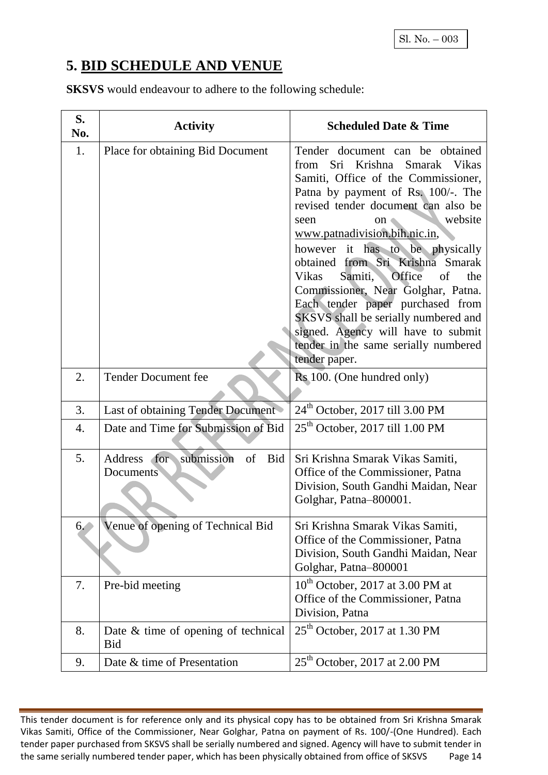## **5. BID SCHEDULE AND VENUE**

**SKSVS** would endeavour to adhere to the following schedule:

| S.<br>No.        | <b>Activity</b>                                   | <b>Scheduled Date &amp; Time</b>                                                                                                                                                                                                                                                                                                                                                                                                                                                                                                                                                        |
|------------------|---------------------------------------------------|-----------------------------------------------------------------------------------------------------------------------------------------------------------------------------------------------------------------------------------------------------------------------------------------------------------------------------------------------------------------------------------------------------------------------------------------------------------------------------------------------------------------------------------------------------------------------------------------|
| 1.               | Place for obtaining Bid Document                  | Tender document can be obtained<br>Sri Krishna<br>Smarak Vikas<br>from<br>Samiti, Office of the Commissioner,<br>Patna by payment of Rs. 100/-. The<br>revised tender document can also be<br>website<br>seen<br>on<br>www.patnadivision.bih.nic.in,<br>however it has to be physically<br>obtained from Sri Krishna Smarak<br>Office<br>of<br>Vikas<br>the<br>Samiti,<br>Commissioner, Near Golghar, Patna.<br>Each tender paper purchased from<br>SKSVS shall be serially numbered and<br>signed. Agency will have to submit<br>tender in the same serially numbered<br>tender paper. |
| 2.               | <b>Tender Document fee</b>                        | Rs 100. (One hundred only)                                                                                                                                                                                                                                                                                                                                                                                                                                                                                                                                                              |
| 3.               | Last of obtaining Tender Document                 | $24th$ October, 2017 till 3.00 PM                                                                                                                                                                                                                                                                                                                                                                                                                                                                                                                                                       |
| $\overline{4}$ . | Date and Time for Submission of Bid               | $25th$ October, 2017 till 1.00 PM                                                                                                                                                                                                                                                                                                                                                                                                                                                                                                                                                       |
| 5.               | Address for submission<br>of<br>Bid<br>Documents  | Sri Krishna Smarak Vikas Samiti,<br>Office of the Commissioner, Patna<br>Division, South Gandhi Maidan, Near<br>Golghar, Patna-800001.                                                                                                                                                                                                                                                                                                                                                                                                                                                  |
| 6.               | Venue of opening of Technical Bid                 | Sri Krishna Smarak Vikas Samiti,<br>Office of the Commissioner, Patna<br>Division, South Gandhi Maidan, Near<br>Golghar, Patna-800001                                                                                                                                                                                                                                                                                                                                                                                                                                                   |
| 7.               | Pre-bid meeting                                   | $10^{th}$ October, 2017 at 3.00 PM at<br>Office of the Commissioner, Patna<br>Division, Patna                                                                                                                                                                                                                                                                                                                                                                                                                                                                                           |
| 8.               | Date & time of opening of technical<br><b>Bid</b> | $25th$ October, 2017 at 1.30 PM                                                                                                                                                                                                                                                                                                                                                                                                                                                                                                                                                         |
| 9.               | Date & time of Presentation                       | $25th$ October, 2017 at 2.00 PM                                                                                                                                                                                                                                                                                                                                                                                                                                                                                                                                                         |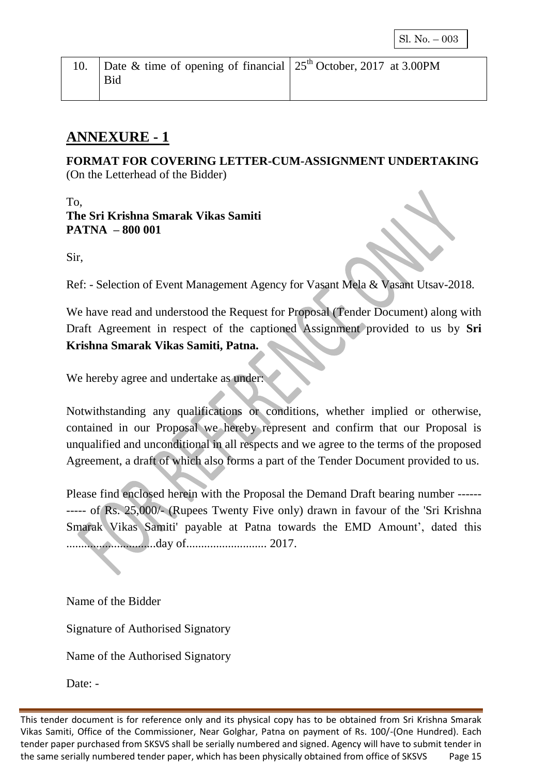| 10. Date & time of opening of financial $25th$ October, 2017 at 3.00PM |  |
|------------------------------------------------------------------------|--|
| Bid                                                                    |  |
|                                                                        |  |

## **ANNEXURE - 1**

**FORMAT FOR COVERING LETTER-CUM-ASSIGNMENT UNDERTAKING**  (On the Letterhead of the Bidder)

T<sub>o</sub> **The Sri Krishna Smarak Vikas Samiti PATNA – 800 001** 

Sir,

Ref: - Selection of Event Management Agency for Vasant Mela & Vasant Utsav-2018.

We have read and understood the Request for Proposal (Tender Document) along with Draft Agreement in respect of the captioned Assignment provided to us by **Sri Krishna Smarak Vikas Samiti, Patna.**

We hereby agree and undertake as under:

Notwithstanding any qualifications or conditions, whether implied or otherwise, contained in our Proposal we hereby represent and confirm that our Proposal is unqualified and unconditional in all respects and we agree to the terms of the proposed Agreement, a draft of which also forms a part of the Tender Document provided to us.

Please find enclosed herein with the Proposal the Demand Draft bearing number ------ ----- of Rs. 25,000/- (Rupees Twenty Five only) drawn in favour of the 'Sri Krishna Smarak Vikas Samiti' payable at Patna towards the EMD Amount', dated this ..............................day of........................... 2017.

Name of the Bidder

Signature of Authorised Signatory

Name of the Authorised Signatory

Date: -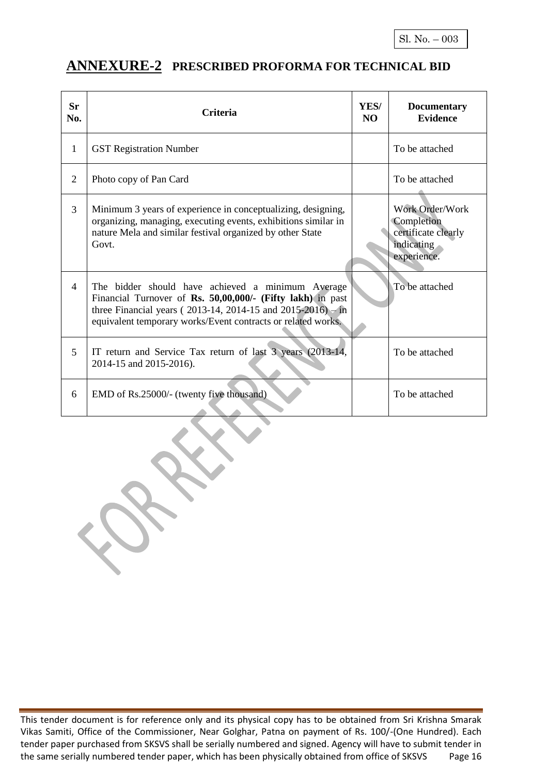#### **ANNEXURE-2 PRESCRIBED PROFORMA FOR TECHNICAL BID**

| <b>Sr</b><br>No. | <b>Criteria</b>                                                                                                                                                                                                                                         | YES/<br>N <sub>O</sub> | <b>Documentary</b><br><b>Evidence</b>                                                    |
|------------------|---------------------------------------------------------------------------------------------------------------------------------------------------------------------------------------------------------------------------------------------------------|------------------------|------------------------------------------------------------------------------------------|
| 1                | <b>GST Registration Number</b>                                                                                                                                                                                                                          |                        | To be attached                                                                           |
| $\overline{2}$   | Photo copy of Pan Card                                                                                                                                                                                                                                  |                        | To be attached                                                                           |
| $\overline{3}$   | Minimum 3 years of experience in conceptualizing, designing,<br>organizing, managing, executing events, exhibitions similar in<br>nature Mela and similar festival organized by other State<br>Govt.                                                    |                        | Work Order/Work<br>Completion<br>certificate clearly<br><i>indicating</i><br>experience. |
| $\overline{4}$   | The bidder should have achieved a minimum Average<br>Financial Turnover of Rs. 50,00,000/- (Fifty lakh) in past<br>three Financial years ( $2013-14$ , $2014-15$ and $2015-2016$ ) – in<br>equivalent temporary works/Event contracts or related works. |                        | To be attached                                                                           |
| 5                | IT return and Service Tax return of last 3 years (2013-14,<br>2014-15 and 2015-2016).                                                                                                                                                                   |                        | To be attached                                                                           |
| 6                | EMD of Rs.25000/- (twenty five thousand)                                                                                                                                                                                                                |                        | To be attached                                                                           |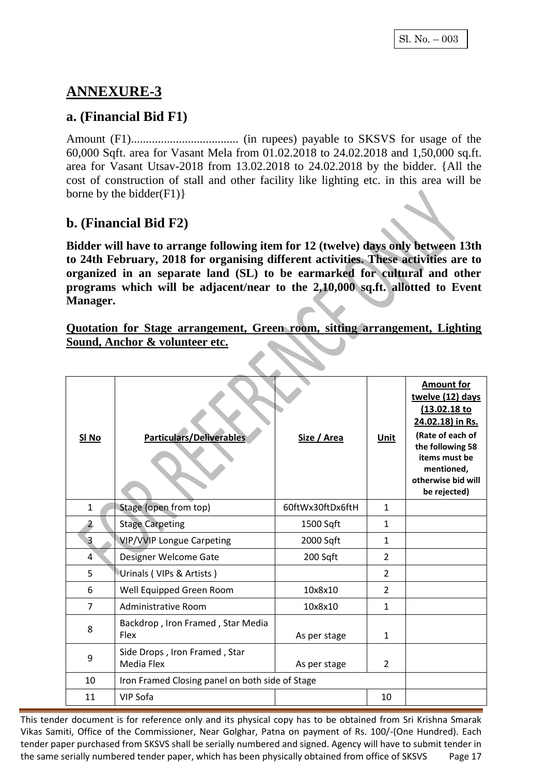## **ANNEXURE-3**

#### **a. (Financial Bid F1)**

Amount (F1).................................... (in rupees) payable to SKSVS for usage of the 60,000 Sqft. area for Vasant Mela from 01.02.2018 to 24.02.2018 and 1,50,000 sq.ft. area for Vasant Utsav-2018 from 13.02.2018 to 24.02.2018 by the bidder. {All the cost of construction of stall and other facility like lighting etc. in this area will be borne by the bidder $(F1)$ }

#### **b. (Financial Bid F2)**

**Bidder will have to arrange following item for 12 (twelve) days only between 13th to 24th February, 2018 for organising different activities. These activities are to organized in an separate land (SL) to be earmarked for cultural and other programs which will be adjacent/near to the 2,10,000 sq.ft. allotted to Event Manager.**

**Quotation for Stage arrangement, Green room, sitting arrangement, Lighting Sound, Anchor & volunteer etc.**

| SI <sub>No</sub> | <b>Particulars/Deliverables</b>                  | Size / Area      | <b>Unit</b>    | <b>Amount for</b><br>twelve (12) days<br>(13.02.18 to<br>24.02.18) in Rs.<br>(Rate of each of<br>the following 58<br>items must be<br>mentioned,<br>otherwise bid will<br>be rejected) |
|------------------|--------------------------------------------------|------------------|----------------|----------------------------------------------------------------------------------------------------------------------------------------------------------------------------------------|
| 1                | Stage (open from top)                            | 60ftWx30ftDx6ftH | $\mathbf{1}$   |                                                                                                                                                                                        |
| $\mathbf{2}$     | <b>Stage Carpeting</b>                           | 1500 Sqft        | $\mathbf{1}$   |                                                                                                                                                                                        |
| $\overline{3}$   | <b>VIP/VVIP Longue Carpeting</b>                 | 2000 Sqft        | $\mathbf{1}$   |                                                                                                                                                                                        |
| 4                | Designer Welcome Gate                            | 200 Sqft         | $\overline{2}$ |                                                                                                                                                                                        |
| 5                | Urinals (VIPs & Artists)                         |                  | $\overline{2}$ |                                                                                                                                                                                        |
| 6                | Well Equipped Green Room                         | 10x8x10          | $\overline{2}$ |                                                                                                                                                                                        |
| 7                | Administrative Room                              | 10x8x10          | $\mathbf{1}$   |                                                                                                                                                                                        |
| 8                | Backdrop, Iron Framed, Star Media<br><b>Flex</b> | As per stage     | $\mathbf{1}$   |                                                                                                                                                                                        |
| 9                | Side Drops, Iron Framed, Star<br>Media Flex      | As per stage     | $\overline{2}$ |                                                                                                                                                                                        |
| 10               | Iron Framed Closing panel on both side of Stage  |                  |                |                                                                                                                                                                                        |
| 11               | <b>VIP Sofa</b>                                  |                  | 10             |                                                                                                                                                                                        |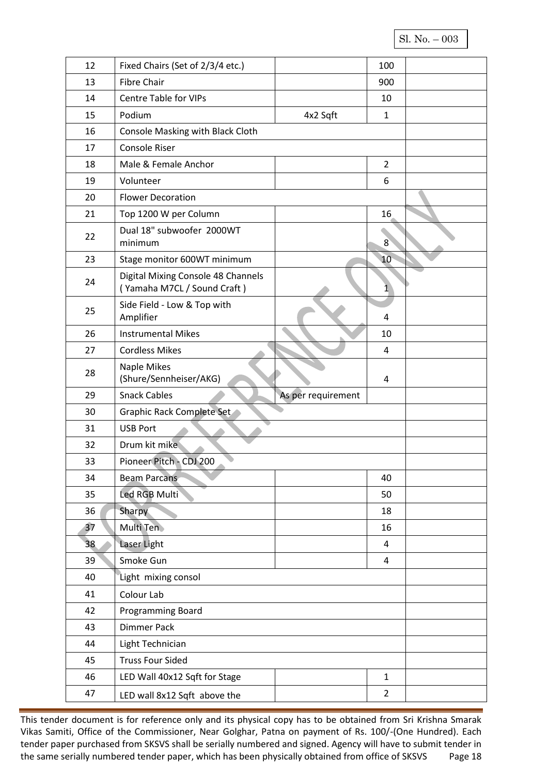Sl. No. – 003

| 12 | Fixed Chairs (Set of 2/3/4 etc.)                                  |                    | 100            |  |
|----|-------------------------------------------------------------------|--------------------|----------------|--|
| 13 | <b>Fibre Chair</b>                                                |                    | 900            |  |
| 14 | <b>Centre Table for VIPs</b>                                      |                    | 10             |  |
| 15 | Podium                                                            | 4x2 Sqft           | 1              |  |
| 16 | Console Masking with Black Cloth                                  |                    |                |  |
| 17 | <b>Console Riser</b>                                              |                    |                |  |
| 18 | Male & Female Anchor                                              |                    | $\overline{2}$ |  |
| 19 | Volunteer                                                         |                    | 6              |  |
| 20 | <b>Flower Decoration</b>                                          |                    |                |  |
| 21 | Top 1200 W per Column                                             |                    | 16             |  |
| 22 | Dual 18" subwoofer 2000WT<br>minimum                              |                    | 8              |  |
| 23 | Stage monitor 600WT minimum                                       |                    | 10             |  |
| 24 | Digital Mixing Console 48 Channels<br>(Yamaha M7CL / Sound Craft) |                    | 1              |  |
| 25 | Side Field - Low & Top with<br>Amplifier                          |                    | 4              |  |
| 26 | <b>Instrumental Mikes</b>                                         |                    | 10             |  |
| 27 | <b>Cordless Mikes</b>                                             |                    | 4              |  |
| 28 | Naple Mikes<br>(Shure/Sennheiser/AKG)                             |                    | 4              |  |
| 29 | <b>Snack Cables</b>                                               | As per requirement |                |  |
| 30 | Graphic Rack Complete Set                                         |                    |                |  |
| 31 | <b>USB Port</b>                                                   |                    |                |  |
| 32 | Drum kit mike                                                     |                    |                |  |
| 33 | Pioneer Pitch - CDJ 200                                           |                    |                |  |
| 34 | <b>Beam Parcans</b>                                               |                    | 40             |  |
| 35 | Led RGB Multi                                                     |                    | 50             |  |
| 36 | Sharpy                                                            |                    | 18             |  |
| 37 | Multi Ten                                                         |                    | 16             |  |
| 38 | Laser Light                                                       |                    | $\overline{4}$ |  |
| 39 | Smoke Gun                                                         |                    | $\overline{4}$ |  |
| 40 | Light mixing consol                                               |                    |                |  |
| 41 | Colour Lab                                                        |                    |                |  |
| 42 | Programming Board                                                 |                    |                |  |
| 43 | <b>Dimmer Pack</b>                                                |                    |                |  |
| 44 | Light Technician                                                  |                    |                |  |
| 45 | <b>Truss Four Sided</b>                                           |                    |                |  |
| 46 | LED Wall 40x12 Sqft for Stage                                     |                    | $\mathbf{1}$   |  |
| 47 | LED wall 8x12 Sqft above the                                      |                    | $\overline{2}$ |  |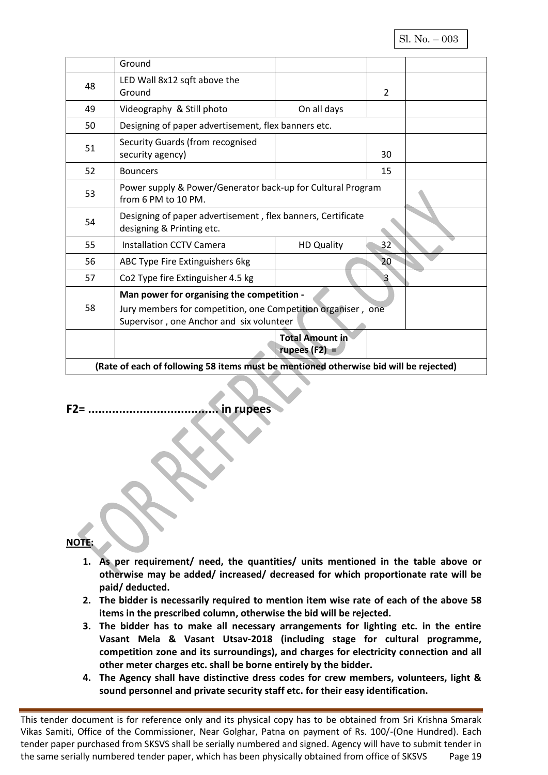|    | Ground                                                                                |                        |                |  |
|----|---------------------------------------------------------------------------------------|------------------------|----------------|--|
|    |                                                                                       |                        |                |  |
| 48 | LED Wall 8x12 sqft above the                                                          |                        |                |  |
|    | Ground                                                                                |                        | $\overline{2}$ |  |
| 49 | Videography & Still photo                                                             | On all days            |                |  |
| 50 | Designing of paper advertisement, flex banners etc.                                   |                        |                |  |
|    | Security Guards (from recognised                                                      |                        |                |  |
| 51 | security agency)                                                                      |                        | 30             |  |
| 52 | <b>Bouncers</b>                                                                       |                        | 15             |  |
|    | Power supply & Power/Generator back-up for Cultural Program                           |                        |                |  |
| 53 | from 6 PM to 10 PM.                                                                   |                        |                |  |
|    | Designing of paper advertisement, flex banners, Certificate                           |                        |                |  |
| 54 | designing & Printing etc.                                                             |                        |                |  |
| 55 | <b>Installation CCTV Camera</b>                                                       | <b>HD Quality</b>      | 32             |  |
| 56 | ABC Type Fire Extinguishers 6kg                                                       |                        | 20             |  |
| 57 | Co2 Type fire Extinguisher 4.5 kg                                                     |                        | 3              |  |
|    | Man power for organising the competition -                                            |                        |                |  |
| 58 | Jury members for competition, one Competition organiser, one                          |                        |                |  |
|    | Supervisor, one Anchor and six volunteer                                              |                        |                |  |
|    |                                                                                       | <b>Total Amount in</b> |                |  |
|    |                                                                                       | rupees $(F2) =$        |                |  |
|    | (Rate of each of following 58 items must be mentioned otherwise bid will be rejected) |                        |                |  |

#### **F2= ...................................... in rupees**

#### **NOTE:**

- **1. As per requirement/ need, the quantities/ units mentioned in the table above or otherwise may be added/ increased/ decreased for which proportionate rate will be paid/ deducted.**
- **2. The bidder is necessarily required to mention item wise rate of each of the above 58 items in the prescribed column, otherwise the bid will be rejected.**
- **3. The bidder has to make all necessary arrangements for lighting etc. in the entire Vasant Mela & Vasant Utsav-2018 (including stage for cultural programme, competition zone and its surroundings), and charges for electricity connection and all other meter charges etc. shall be borne entirely by the bidder.**
- **4. The Agency shall have distinctive dress codes for crew members, volunteers, light & sound personnel and private security staff etc. for their easy identification.**